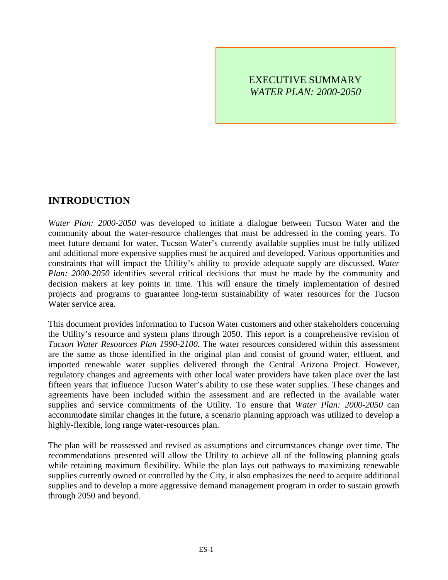### EXECUTIVE SUMMARY *WATER PLAN: 2000-2050*

## **INTRODUCTION**

*Water Plan: 2000-2050* was developed to initiate a dialogue between Tucson Water and the community about the water-resource challenges that must be addressed in the coming years. To meet future demand for water, Tucson Water's currently available supplies must be fully utilized and additional more expensive supplies must be acquired and developed. Various opportunities and constraints that will impact the Utility's ability to provide adequate supply are discussed. *Water Plan: 2000-2050* identifies several critical decisions that must be made by the community and decision makers at key points in time. This will ensure the timely implementation of desired projects and programs to guarantee long-term sustainability of water resources for the Tucson Water service area.

This document provides information to Tucson Water customers and other stakeholders concerning the Utility's resource and system plans through 2050. This report is a comprehensive revision of *Tucson Water Resources Plan 1990-2100.* The water resources considered within this assessment are the same as those identified in the original plan and consist of ground water, effluent, and imported renewable water supplies delivered through the Central Arizona Project. However, regulatory changes and agreements with other local water providers have taken place over the last fifteen years that influence Tucson Water's ability to use these water supplies. These changes and agreements have been included within the assessment and are reflected in the available water supplies and service commitments of the Utility. To ensure that *Water Plan: 2000-2050* can accommodate similar changes in the future, a scenario planning approach was utilized to develop a highly-flexible, long range water-resources plan.

The plan will be reassessed and revised as assumptions and circumstances change over time. The recommendations presented will allow the Utility to achieve all of the following planning goals while retaining maximum flexibility. While the plan lays out pathways to maximizing renewable supplies currently owned or controlled by the City, it also emphasizes the need to acquire additional supplies and to develop a more aggressive demand management program in order to sustain growth through 2050 and beyond.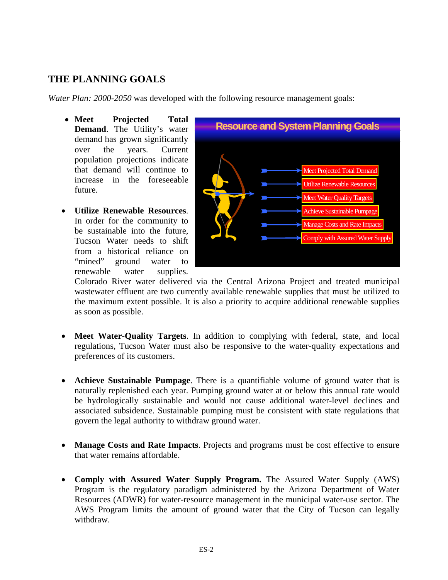## **THE PLANNING GOALS**

*Water Plan: 2000-2050* was developed with the following resource management goals:

- **Meet Projected Total Demand**. The Utility's water demand has grown significantly over the years. Current population projections indicate that demand will continue to increase in the foreseeable future.
- **Utilize Renewable Resources**. In order for the community to be sustainable into the future, Tucson Water needs to shift from a historical reliance on "mined" ground water to renewable water supplies.



Colorado River water delivered via the Central Arizona Project and treated municipal wastewater effluent are two currently available renewable supplies that must be utilized to the maximum extent possible. It is also a priority to acquire additional renewable supplies as soon as possible.

- **Meet Water-Quality Targets**. In addition to complying with federal, state, and local regulations, Tucson Water must also be responsive to the water-quality expectations and preferences of its customers.
- **Achieve Sustainable Pumpage**. There is a quantifiable volume of ground water that is naturally replenished each year. Pumping ground water at or below this annual rate would be hydrologically sustainable and would not cause additional water-level declines and associated subsidence. Sustainable pumping must be consistent with state regulations that govern the legal authority to withdraw ground water.
- **Manage Costs and Rate Impacts**. Projects and programs must be cost effective to ensure that water remains affordable.
- **Comply with Assured Water Supply Program.** The Assured Water Supply (AWS) Program is the regulatory paradigm administered by the Arizona Department of Water Resources (ADWR) for water-resource management in the municipal water-use sector. The AWS Program limits the amount of ground water that the City of Tucson can legally withdraw.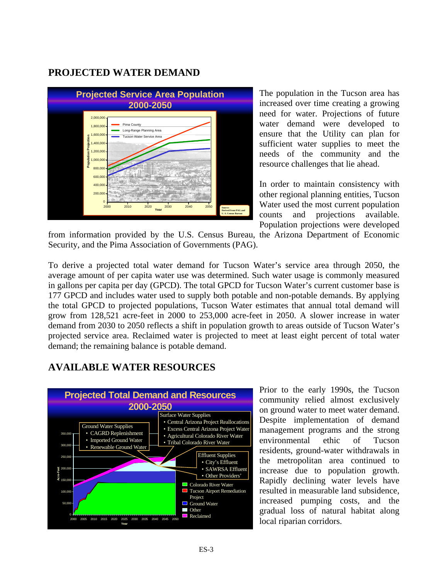### **PROJECTED WATER DEMAND**



The population in the Tucson area has increased over time creating a growing need for water. Projections of future water demand were developed to ensure that the Utility can plan for sufficient water supplies to meet the needs of the community and the resource challenges that lie ahead.

In order to maintain consistency with other regional planning entities, Tucson Water used the most current population counts and projections available. Population projections were developed

from information provided by the U.S. Census Bureau, the Arizona Department of Economic Security, and the Pima Association of Governments (PAG).

To derive a projected total water demand for Tucson Water's service area through 2050, the average amount of per capita water use was determined. Such water usage is commonly measured in gallons per capita per day (GPCD). The total GPCD for Tucson Water's current customer base is 177 GPCD and includes water used to supply both potable and non-potable demands. By applying the total GPCD to projected populations, Tucson Water estimates that annual total demand will grow from 128,521 acre-feet in 2000 to 253,000 acre-feet in 2050. A slower increase in water demand from 2030 to 2050 reflects a shift in population growth to areas outside of Tucson Water's projected service area. Reclaimed water is projected to meet at least eight percent of total water demand; the remaining balance is potable demand.

# **AVAILABLE WATER RESOURCES**



Prior to the early 1990s, the Tucson community relied almost exclusively on ground water to meet water demand. Despite implementation of demand management programs and the strong environmental ethic of Tucson residents, ground-water withdrawals in the metropolitan area continued to increase due to population growth. Rapidly declining water levels have resulted in measurable land subsidence, increased pumping costs, and the gradual loss of natural habitat along local riparian corridors.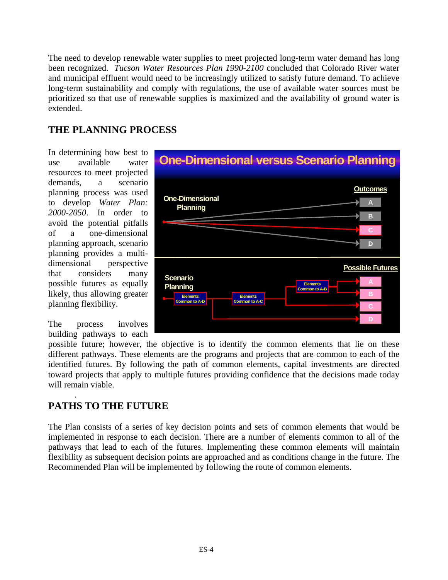The need to develop renewable water supplies to meet projected long-term water demand has long been recognized. *Tucson Water Resources Plan 1990-2100* concluded that Colorado River water and municipal effluent would need to be increasingly utilized to satisfy future demand. To achieve long-term sustainability and comply with regulations, the use of available water sources must be prioritized so that use of renewable supplies is maximized and the availability of ground water is extended.

### **THE PLANNING PROCESS**

In determining how best to use available water resources to meet projected demands, a scenario planning process was used to develop *Water Plan: 2000-2050*. In order to avoid the potential pitfalls of a one-dimensional planning approach, scenario planning provides a multidimensional perspective that considers many possible futures as equally likely, thus allowing greater planning flexibility.

The process involves building pathways to each



possible future; however, the objective is to identify the common elements that lie on these different pathways. These elements are the programs and projects that are common to each of the identified futures. By following the path of common elements, capital investments are directed toward projects that apply to multiple futures providing confidence that the decisions made today will remain viable.

### . **PATHS TO THE FUTURE**

The Plan consists of a series of key decision points and sets of common elements that would be implemented in response to each decision. There are a number of elements common to all of the pathways that lead to each of the futures. Implementing these common elements will maintain flexibility as subsequent decision points are approached and as conditions change in the future. The Recommended Plan will be implemented by following the route of common elements.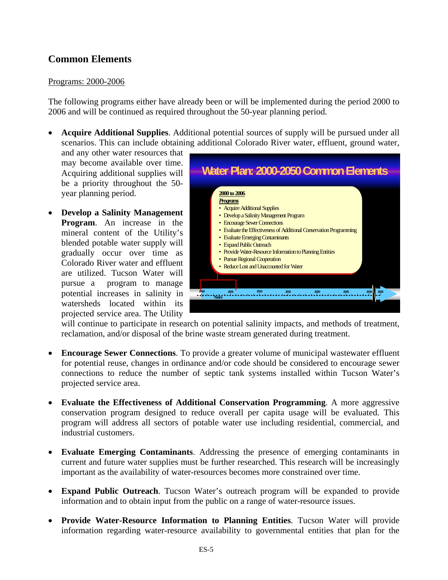## **Common Elements**

### Programs: 2000-2006

The following programs either have already been or will be implemented during the period 2000 to 2006 and will be continued as required throughout the 50-year planning period.

• **Acquire Additional Supplies**. Additional potential sources of supply will be pursued under all scenarios. This can include obtaining additional Colorado River water, effluent, ground water,

and any other water resources that may become available over time. Acquiring additional supplies will be a priority throughout the 50 year planning period.

• **Develop a Salinity Management Program**. An increase in the mineral content of the Utility's blended potable water supply will gradually occur over time as Colorado River water and effluent are utilized. Tucson Water will pursue a program to manage potential increases in salinity in watersheds located within its projected service area. The Utility



will continue to participate in research on potential salinity impacts, and methods of treatment, reclamation, and/or disposal of the brine waste stream generated during treatment.

- **Encourage Sewer Connections**. To provide a greater volume of municipal wastewater effluent for potential reuse, changes in ordinance and/or code should be considered to encourage sewer connections to reduce the number of septic tank systems installed within Tucson Water's projected service area.
- **Evaluate the Effectiveness of Additional Conservation Programming**. A more aggressive conservation program designed to reduce overall per capita usage will be evaluated. This program will address all sectors of potable water use including residential, commercial, and industrial customers.
- **Evaluate Emerging Contaminants**. Addressing the presence of emerging contaminants in current and future water supplies must be further researched. This research will be increasingly important as the availability of water-resources becomes more constrained over time.
- **Expand Public Outreach**. Tucson Water's outreach program will be expanded to provide information and to obtain input from the public on a range of water-resource issues.
- **Provide Water-Resource Information to Planning Entities**. Tucson Water will provide information regarding water-resource availability to governmental entities that plan for the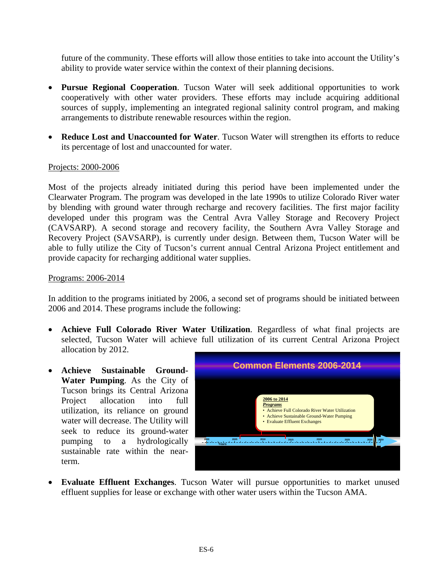future of the community. These efforts will allow those entities to take into account the Utility's ability to provide water service within the context of their planning decisions.

- **Pursue Regional Cooperation**. Tucson Water will seek additional opportunities to work cooperatively with other water providers. These efforts may include acquiring additional sources of supply, implementing an integrated regional salinity control program, and making arrangements to distribute renewable resources within the region.
- **Reduce Lost and Unaccounted for Water**. Tucson Water will strengthen its efforts to reduce its percentage of lost and unaccounted for water.

### Projects: 2000-2006

Most of the projects already initiated during this period have been implemented under the Clearwater Program. The program was developed in the late 1990s to utilize Colorado River water by blending with ground water through recharge and recovery facilities. The first major facility developed under this program was the Central Avra Valley Storage and Recovery Project (CAVSARP). A second storage and recovery facility, the Southern Avra Valley Storage and Recovery Project (SAVSARP), is currently under design. Between them, Tucson Water will be able to fully utilize the City of Tucson's current annual Central Arizona Project entitlement and provide capacity for recharging additional water supplies.

#### Programs: 2006-2014

In addition to the programs initiated by 2006, a second set of programs should be initiated between 2006 and 2014. These programs include the following:

- **Achieve Full Colorado River Water Utilization**. Regardless of what final projects are selected, Tucson Water will achieve full utilization of its current Central Arizona Project allocation by 2012.
- **Achieve Sustainable Ground-Water Pumping**. As the City of Tucson brings its Central Arizona Project allocation into full utilization, its reliance on ground water will decrease. The Utility will seek to reduce its ground-water pumping to a hydrologically sustainable rate within the nearterm.



• **Evaluate Effluent Exchanges**. Tucson Water will pursue opportunities to market unused effluent supplies for lease or exchange with other water users within the Tucson AMA.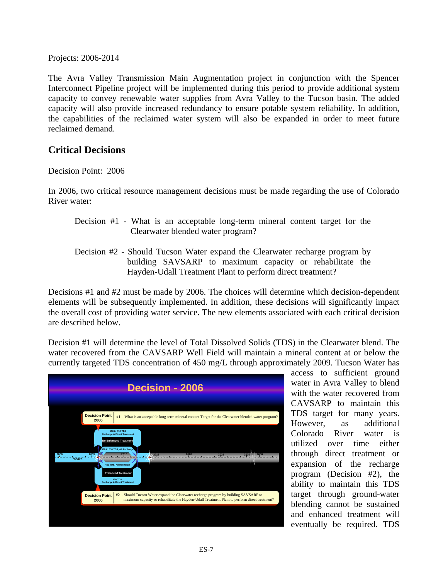Projects: 2006-2014

The Avra Valley Transmission Main Augmentation project in conjunction with the Spencer Interconnect Pipeline project will be implemented during this period to provide additional system capacity to convey renewable water supplies from Avra Valley to the Tucson basin. The added capacity will also provide increased redundancy to ensure potable system reliability. In addition, the capabilities of the reclaimed water system will also be expanded in order to meet future reclaimed demand.

### **Critical Decisions**

#### Decision Point: 2006

In 2006, two critical resource management decisions must be made regarding the use of Colorado River water:

- Decision #1 What is an acceptable long-term mineral content target for the Clearwater blended water program?
- Decision #2 Should Tucson Water expand the Clearwater recharge program by building SAVSARP to maximum capacity or rehabilitate the Hayden-Udall Treatment Plant to perform direct treatment?

Decisions #1 and #2 must be made by 2006. The choices will determine which decision-dependent elements will be subsequently implemented. In addition, these decisions will significantly impact the overall cost of providing water service. The new elements associated with each critical decision are described below.

Decision #1 will determine the level of Total Dissolved Solids (TDS) in the Clearwater blend. The water recovered from the CAVSARP Well Field will maintain a mineral content at or below the currently targeted TDS concentration of 450 mg/L through approximately 2009. Tucson Water has



access to sufficient ground water in Avra Valley to blend with the water recovered from CAVSARP to maintain this TDS target for many years. However, as additional Colorado River water is utilized over time either through direct treatment or expansion of the recharge program (Decision #2), the ability to maintain this TDS target through ground-water blending cannot be sustained and enhanced treatment will eventually be required. TDS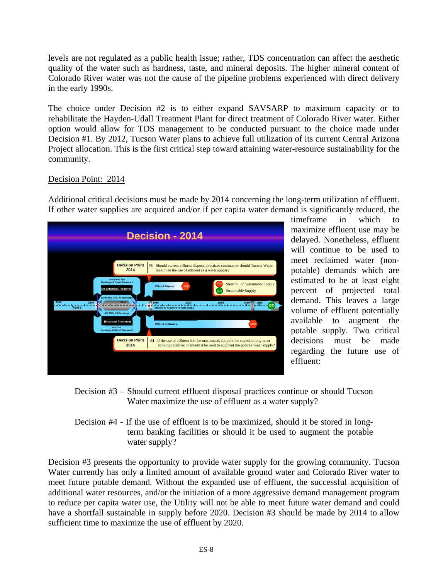levels are not regulated as a public health issue; rather, TDS concentration can affect the aesthetic quality of the water such as hardness, taste, and mineral deposits. The higher mineral content of Colorado River water was not the cause of the pipeline problems experienced with direct delivery in the early 1990s.

The choice under Decision #2 is to either expand SAVSARP to maximum capacity or to rehabilitate the Hayden-Udall Treatment Plant for direct treatment of Colorado River water. Either option would allow for TDS management to be conducted pursuant to the choice made under Decision #1. By 2012, Tucson Water plans to achieve full utilization of its current Central Arizona Project allocation. This is the first critical step toward attaining water-resource sustainability for the community.

### Decision Point: 2014

Additional critical decisions must be made by 2014 concerning the long-term utilization of effluent. If other water supplies are acquired and/or if per capita water demand is significantly reduced, the



timeframe in which to maximize effluent use may be delayed. Nonetheless, effluent will continue to be used to meet reclaimed water (nonpotable) demands which are estimated to be at least eight percent of projected total demand. This leaves a large volume of effluent potentially available to augment the potable supply. Two critical decisions must be made regarding the future use of effluent:

- Decision #3 Should current effluent disposal practices continue or should Tucson Water maximize the use of effluent as a water supply?
- Decision #4 If the use of effluent is to be maximized, should it be stored in longterm banking facilities or should it be used to augment the potable water supply?

Decision #3 presents the opportunity to provide water supply for the growing community. Tucson Water currently has only a limited amount of available ground water and Colorado River water to meet future potable demand. Without the expanded use of effluent, the successful acquisition of additional water resources, and/or the initiation of a more aggressive demand management program to reduce per capita water use, the Utility will not be able to meet future water demand and could have a shortfall sustainable in supply before 2020. Decision #3 should be made by 2014 to allow sufficient time to maximize the use of effluent by 2020.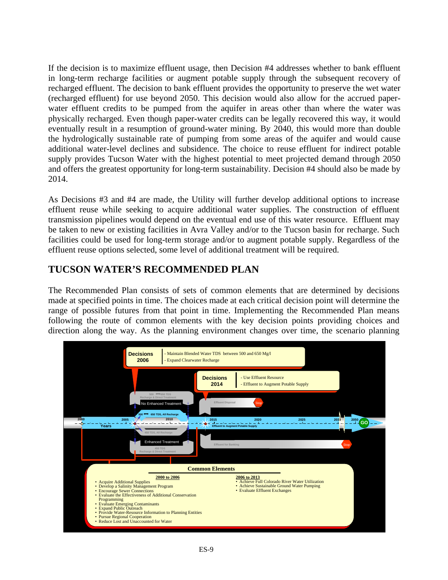If the decision is to maximize effluent usage, then Decision #4 addresses whether to bank effluent in long-term recharge facilities or augment potable supply through the subsequent recovery of recharged effluent. The decision to bank effluent provides the opportunity to preserve the wet water (recharged effluent) for use beyond 2050. This decision would also allow for the accrued paperwater effluent credits to be pumped from the aquifer in areas other than where the water was physically recharged. Even though paper-water credits can be legally recovered this way, it would eventually result in a resumption of ground-water mining. By 2040, this would more than double the hydrologically sustainable rate of pumping from some areas of the aquifer and would cause additional water-level declines and subsidence. The choice to reuse effluent for indirect potable supply provides Tucson Water with the highest potential to meet projected demand through 2050 and offers the greatest opportunity for long-term sustainability. Decision #4 should also be made by 2014.

As Decisions #3 and #4 are made, the Utility will further develop additional options to increase effluent reuse while seeking to acquire additional water supplies. The construction of effluent transmission pipelines would depend on the eventual end use of this water resource. Effluent may be taken to new or existing facilities in Avra Valley and/or to the Tucson basin for recharge. Such facilities could be used for long-term storage and/or to augment potable supply. Regardless of the effluent reuse options selected, some level of additional treatment will be required.

## **TUCSON WATER'S RECOMMENDED PLAN**

The Recommended Plan consists of sets of common elements that are determined by decisions made at specified points in time. The choices made at each critical decision point will determine the range of possible futures from that point in time. Implementing the Recommended Plan means following the route of common elements with the key decision points providing choices and direction along the way. As the planning environment changes over time, the scenario planning

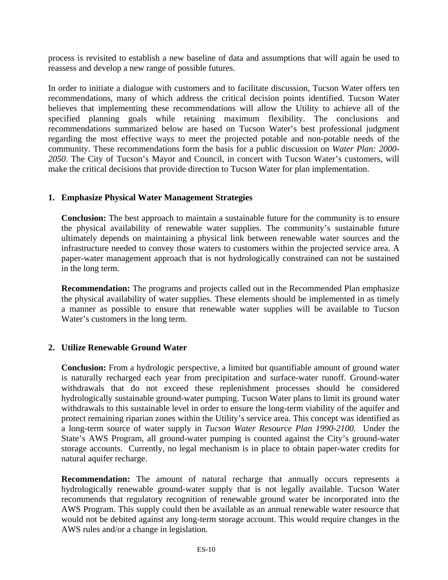process is revisited to establish a new baseline of data and assumptions that will again be used to reassess and develop a new range of possible futures.

In order to initiate a dialogue with customers and to facilitate discussion, Tucson Water offers ten recommendations, many of which address the critical decision points identified. Tucson Water believes that implementing these recommendations will allow the Utility to achieve all of the specified planning goals while retaining maximum flexibility. The conclusions and recommendations summarized below are based on Tucson Water's best professional judgment regarding the most effective ways to meet the projected potable and non-potable needs of the community. These recommendations form the basis for a public discussion on *Water Plan: 2000- 2050*. The City of Tucson's Mayor and Council, in concert with Tucson Water's customers, will make the critical decisions that provide direction to Tucson Water for plan implementation.

### **1. Emphasize Physical Water Management Strategies**

**Conclusion:** The best approach to maintain a sustainable future for the community is to ensure the physical availability of renewable water supplies. The community's sustainable future ultimately depends on maintaining a physical link between renewable water sources and the infrastructure needed to convey those waters to customers within the projected service area. A paper-water management approach that is not hydrologically constrained can not be sustained in the long term.

**Recommendation:** The programs and projects called out in the Recommended Plan emphasize the physical availability of water supplies. These elements should be implemented in as timely a manner as possible to ensure that renewable water supplies will be available to Tucson Water's customers in the long term.

### **2. Utilize Renewable Ground Water**

**Conclusion:** From a hydrologic perspective, a limited but quantifiable amount of ground water is naturally recharged each year from precipitation and surface-water runoff. Ground-water withdrawals that do not exceed these replenishment processes should be considered hydrologically sustainable ground-water pumping. Tucson Water plans to limit its ground water withdrawals to this sustainable level in order to ensure the long-term viability of the aquifer and protect remaining riparian zones within the Utility's service area. This concept was identified as a long-term source of water supply in *Tucson Water Resource Plan 1990-2100*. Under the State's AWS Program, all ground-water pumping is counted against the City's ground-water storage accounts. Currently, no legal mechanism is in place to obtain paper-water credits for natural aquifer recharge.

**Recommendation:** The amount of natural recharge that annually occurs represents a hydrologically renewable ground-water supply that is not legally available. Tucson Water recommends that regulatory recognition of renewable ground water be incorporated into the AWS Program. This supply could then be available as an annual renewable water resource that would not be debited against any long-term storage account. This would require changes in the AWS rules and/or a change in legislation.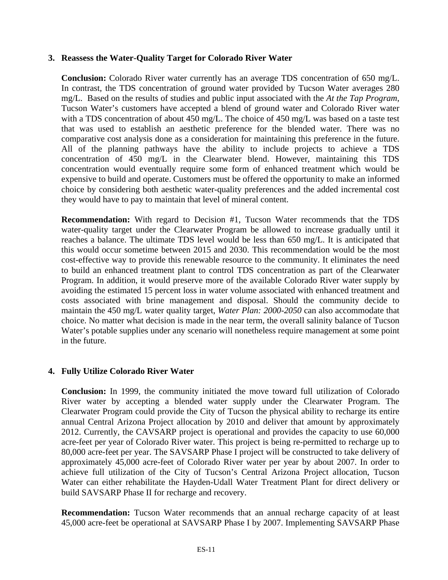#### **3. Reassess the Water-Quality Target for Colorado River Water**

**Conclusion:** Colorado River water currently has an average TDS concentration of 650 mg/L. In contrast, the TDS concentration of ground water provided by Tucson Water averages 280 mg/L. Based on the results of studies and public input associated with the *At the Tap Program*, Tucson Water's customers have accepted a blend of ground water and Colorado River water with a TDS concentration of about 450 mg/L. The choice of 450 mg/L was based on a taste test that was used to establish an aesthetic preference for the blended water. There was no comparative cost analysis done as a consideration for maintaining this preference in the future. All of the planning pathways have the ability to include projects to achieve a TDS concentration of 450 mg/L in the Clearwater blend. However, maintaining this TDS concentration would eventually require some form of enhanced treatment which would be expensive to build and operate. Customers must be offered the opportunity to make an informed choice by considering both aesthetic water-quality preferences and the added incremental cost they would have to pay to maintain that level of mineral content.

**Recommendation:** With regard to Decision #1, Tucson Water recommends that the TDS water-quality target under the Clearwater Program be allowed to increase gradually until it reaches a balance. The ultimate TDS level would be less than 650 mg/L. It is anticipated that this would occur sometime between 2015 and 2030. This recommendation would be the most cost-effective way to provide this renewable resource to the community. It eliminates the need to build an enhanced treatment plant to control TDS concentration as part of the Clearwater Program. In addition, it would preserve more of the available Colorado River water supply by avoiding the estimated 15 percent loss in water volume associated with enhanced treatment and costs associated with brine management and disposal. Should the community decide to maintain the 450 mg/L water quality target, *Water Plan: 2000-2050* can also accommodate that choice. No matter what decision is made in the near term, the overall salinity balance of Tucson Water's potable supplies under any scenario will nonetheless require management at some point in the future.

### **4. Fully Utilize Colorado River Water**

**Conclusion:** In 1999, the community initiated the move toward full utilization of Colorado River water by accepting a blended water supply under the Clearwater Program. The Clearwater Program could provide the City of Tucson the physical ability to recharge its entire annual Central Arizona Project allocation by 2010 and deliver that amount by approximately 2012. Currently, the CAVSARP project is operational and provides the capacity to use 60,000 acre-feet per year of Colorado River water. This project is being re-permitted to recharge up to 80,000 acre-feet per year. The SAVSARP Phase I project will be constructed to take delivery of approximately 45,000 acre-feet of Colorado River water per year by about 2007. In order to achieve full utilization of the City of Tucson's Central Arizona Project allocation, Tucson Water can either rehabilitate the Hayden-Udall Water Treatment Plant for direct delivery or build SAVSARP Phase II for recharge and recovery.

**Recommendation:** Tucson Water recommends that an annual recharge capacity of at least 45,000 acre-feet be operational at SAVSARP Phase I by 2007. Implementing SAVSARP Phase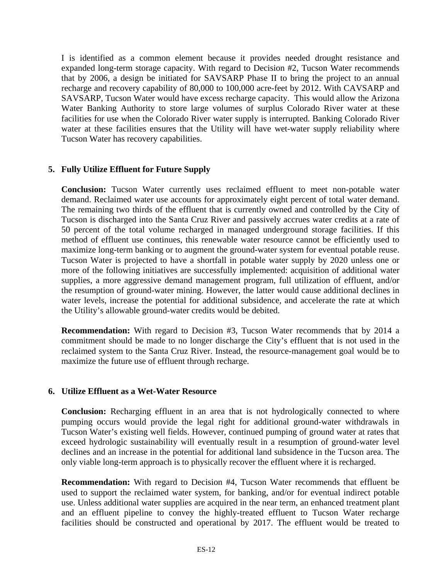I is identified as a common element because it provides needed drought resistance and expanded long-term storage capacity. With regard to Decision #2, Tucson Water recommends that by 2006, a design be initiated for SAVSARP Phase II to bring the project to an annual recharge and recovery capability of 80,000 to 100,000 acre-feet by 2012. With CAVSARP and SAVSARP, Tucson Water would have excess recharge capacity. This would allow the Arizona Water Banking Authority to store large volumes of surplus Colorado River water at these facilities for use when the Colorado River water supply is interrupted. Banking Colorado River water at these facilities ensures that the Utility will have wet-water supply reliability where Tucson Water has recovery capabilities.

### **5. Fully Utilize Effluent for Future Supply**

**Conclusion:** Tucson Water currently uses reclaimed effluent to meet non-potable water demand. Reclaimed water use accounts for approximately eight percent of total water demand. The remaining two thirds of the effluent that is currently owned and controlled by the City of Tucson is discharged into the Santa Cruz River and passively accrues water credits at a rate of 50 percent of the total volume recharged in managed underground storage facilities. If this method of effluent use continues, this renewable water resource cannot be efficiently used to maximize long-term banking or to augment the ground-water system for eventual potable reuse. Tucson Water is projected to have a shortfall in potable water supply by 2020 unless one or more of the following initiatives are successfully implemented: acquisition of additional water supplies, a more aggressive demand management program, full utilization of effluent, and/or the resumption of ground-water mining. However, the latter would cause additional declines in water levels, increase the potential for additional subsidence, and accelerate the rate at which the Utility's allowable ground-water credits would be debited.

**Recommendation:** With regard to Decision #3, Tucson Water recommends that by 2014 a commitment should be made to no longer discharge the City's effluent that is not used in the reclaimed system to the Santa Cruz River. Instead, the resource-management goal would be to maximize the future use of effluent through recharge.

### **6. Utilize Effluent as a Wet-Water Resource**

**Conclusion:** Recharging effluent in an area that is not hydrologically connected to where pumping occurs would provide the legal right for additional ground-water withdrawals in Tucson Water's existing well fields. However, continued pumping of ground water at rates that exceed hydrologic sustainability will eventually result in a resumption of ground-water level declines and an increase in the potential for additional land subsidence in the Tucson area. The only viable long-term approach is to physically recover the effluent where it is recharged.

**Recommendation:** With regard to Decision #4, Tucson Water recommends that effluent be used to support the reclaimed water system, for banking, and/or for eventual indirect potable use. Unless additional water supplies are acquired in the near term, an enhanced treatment plant and an effluent pipeline to convey the highly-treated effluent to Tucson Water recharge facilities should be constructed and operational by 2017. The effluent would be treated to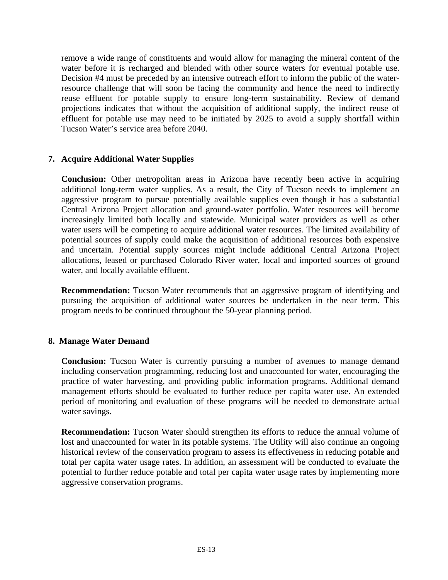remove a wide range of constituents and would allow for managing the mineral content of the water before it is recharged and blended with other source waters for eventual potable use. Decision #4 must be preceded by an intensive outreach effort to inform the public of the waterresource challenge that will soon be facing the community and hence the need to indirectly reuse effluent for potable supply to ensure long-term sustainability. Review of demand projections indicates that without the acquisition of additional supply, the indirect reuse of effluent for potable use may need to be initiated by 2025 to avoid a supply shortfall within Tucson Water's service area before 2040.

### **7. Acquire Additional Water Supplies**

**Conclusion:** Other metropolitan areas in Arizona have recently been active in acquiring additional long-term water supplies. As a result, the City of Tucson needs to implement an aggressive program to pursue potentially available supplies even though it has a substantial Central Arizona Project allocation and ground-water portfolio. Water resources will become increasingly limited both locally and statewide. Municipal water providers as well as other water users will be competing to acquire additional water resources. The limited availability of potential sources of supply could make the acquisition of additional resources both expensive and uncertain. Potential supply sources might include additional Central Arizona Project allocations, leased or purchased Colorado River water, local and imported sources of ground water, and locally available effluent.

**Recommendation:** Tucson Water recommends that an aggressive program of identifying and pursuing the acquisition of additional water sources be undertaken in the near term. This program needs to be continued throughout the 50-year planning period.

#### **8. Manage Water Demand**

**Conclusion:** Tucson Water is currently pursuing a number of avenues to manage demand including conservation programming, reducing lost and unaccounted for water, encouraging the practice of water harvesting, and providing public information programs. Additional demand management efforts should be evaluated to further reduce per capita water use. An extended period of monitoring and evaluation of these programs will be needed to demonstrate actual water savings.

**Recommendation:** Tucson Water should strengthen its efforts to reduce the annual volume of lost and unaccounted for water in its potable systems. The Utility will also continue an ongoing historical review of the conservation program to assess its effectiveness in reducing potable and total per capita water usage rates. In addition, an assessment will be conducted to evaluate the potential to further reduce potable and total per capita water usage rates by implementing more aggressive conservation programs.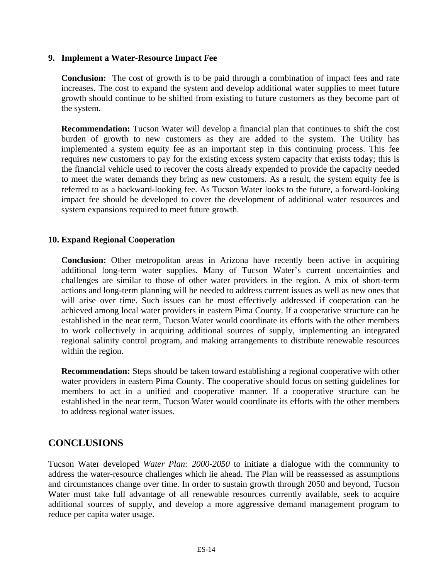#### **9. Implement a Water-Resource Impact Fee**

**Conclusion:** The cost of growth is to be paid through a combination of impact fees and rate increases. The cost to expand the system and develop additional water supplies to meet future growth should continue to be shifted from existing to future customers as they become part of the system.

**Recommendation:** Tucson Water will develop a financial plan that continues to shift the cost burden of growth to new customers as they are added to the system. The Utility has implemented a system equity fee as an important step in this continuing process. This fee requires new customers to pay for the existing excess system capacity that exists today; this is the financial vehicle used to recover the costs already expended to provide the capacity needed to meet the water demands they bring as new customers. As a result, the system equity fee is referred to as a backward-looking fee. As Tucson Water looks to the future, a forward-looking impact fee should be developed to cover the development of additional water resources and system expansions required to meet future growth.

### **10. Expand Regional Cooperation**

**Conclusion:** Other metropolitan areas in Arizona have recently been active in acquiring additional long-term water supplies. Many of Tucson Water's current uncertainties and challenges are similar to those of other water providers in the region. A mix of short-term actions and long-term planning will be needed to address current issues as well as new ones that will arise over time. Such issues can be most effectively addressed if cooperation can be achieved among local water providers in eastern Pima County. If a cooperative structure can be established in the near term, Tucson Water would coordinate its efforts with the other members to work collectively in acquiring additional sources of supply, implementing an integrated regional salinity control program, and making arrangements to distribute renewable resources within the region.

**Recommendation:** Steps should be taken toward establishing a regional cooperative with other water providers in eastern Pima County. The cooperative should focus on setting guidelines for members to act in a unified and cooperative manner. If a cooperative structure can be established in the near term, Tucson Water would coordinate its efforts with the other members to address regional water issues.

### **CONCLUSIONS**

Tucson Water developed *Water Plan: 2000-2050* to initiate a dialogue with the community to address the water-resource challenges which lie ahead. The Plan will be reassessed as assumptions and circumstances change over time. In order to sustain growth through 2050 and beyond, Tucson Water must take full advantage of all renewable resources currently available, seek to acquire additional sources of supply, and develop a more aggressive demand management program to reduce per capita water usage.